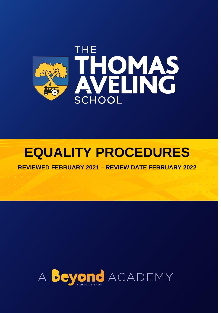

# **EQUALITY PROCEDURES**

**REVIEWED FEBRUARY 2021 – REVIEW DATE FEBRUARY 2022** 

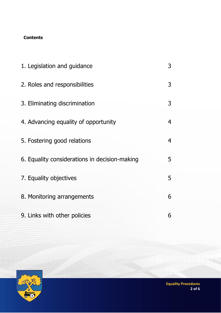## **Contents**

| 1. Legislation and guidance                   | 3 |
|-----------------------------------------------|---|
| 2. Roles and responsibilities                 | 3 |
| 3. Eliminating discrimination                 | 3 |
| 4. Advancing equality of opportunity          | 4 |
| 5. Fostering good relations                   | 4 |
| 6. Equality considerations in decision-making | 5 |
| 7. Equality objectives                        | 5 |
| 8. Monitoring arrangements                    | 6 |
| 9. Links with other policies                  | 6 |

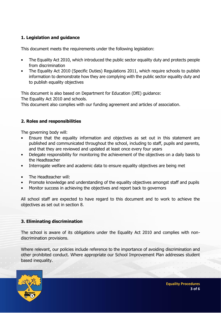## **1. Legislation and guidance**

This document meets the requirements under the following legislation:

- The Equality Act 2010, which introduced the public sector equality duty and protects people from discrimination
- The Equality Act 2010 (Specific Duties) Regulations 2011, which require schools to publish information to demonstrate how they are complying with the public sector equality duty and to publish equality objectives

This document is also based on Department for Education (DfE) guidance:

The Equality Act 2010 and schools.

This document also complies with our funding agreement and articles of association.

## **2. Roles and responsibilities**

The governing body will:

- Ensure that the equality information and objectives as set out in this statement are published and communicated throughout the school, including to staff, pupils and parents, and that they are reviewed and updated at least once every four years
- Delegate responsibility for monitoring the achievement of the objectives on a daily basis to the Headteacher
- Interrogate welfare and academic data to ensure equality objectives are being met
- The Headteacher will:
- Promote knowledge and understanding of the equality objectives amongst staff and pupils
- Monitor success in achieving the objectives and report back to governors

All school staff are expected to have regard to this document and to work to achieve the objectives as set out in section 8.

#### **3. Eliminating discrimination**

The school is aware of its obligations under the Equality Act 2010 and complies with nondiscrimination provisions.

Where relevant, our policies include reference to the importance of avoiding discrimination and other prohibited conduct. Where appropriate our School Improvement Plan addresses student based inequality.

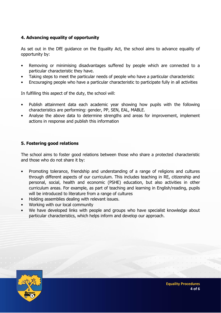### **4. Advancing equality of opportunity**

As set out in the DfE guidance on the Equality Act, the school aims to advance equality of opportunity by:

- Removing or minimising disadvantages suffered by people which are connected to a particular characteristic they have.
- Taking steps to meet the particular needs of people who have a particular characteristic
- Encouraging people who have a particular characteristic to participate fully in all activities

In fulfilling this aspect of the duty, the school will:

- Publish attainment data each academic year showing how pupils with the following characteristics are performing: gender, PP, SEN, EAL, MABLE.
- Analyse the above data to determine strengths and areas for improvement, implement actions in response and publish this information

### **5. Fostering good relations**

The school aims to foster good relations between those who share a protected characteristic and those who do not share it by:

- Promoting tolerance, friendship and understanding of a range of religions and cultures through different aspects of our curriculum. This includes teaching in RE, citizenship and personal, social, health and economic (PSHE) education, but also activities in other curriculum areas. For example, as part of teaching and learning in English/reading, pupils will be introduced to literature from a range of cultures
- Holding assemblies dealing with relevant issues.
- Working with our local community
- We have developed links with people and groups who have specialist knowledge about particular characteristics, which helps inform and develop our approach.

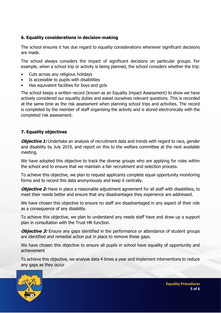### **6. Equality considerations in decision-making**

The school ensures it has due regard to equality considerations whenever significant decisions are made.

The school always considers the impact of significant decisions on particular groups. For example, when a school trip or activity is being planned, the school considers whether the trip:

- Cuts across any religious holidays
- Is accessible to pupils with disabilities
- Has equivalent facilities for boys and girls

The school keeps a written record (known as an Equality Impact Assessment) to show we have actively considered our equality duties and asked ourselves relevant questions. This is recorded at the same time as the risk assessment when planning school trips and activities. The record is completed by the member of staff organising the activity and is stored electronically with the completed risk assessment.

#### **7. Equality objectives**

**Objective 1:** Undertake an analysis of recruitment data and trends with regard to race, gender and disability by July 2019, and report on this to the welfare committee at the next available meeting.

We have adopted this objective to track the diverse groups who are applying for roles within the school and to ensure that we maintain a fair recruitment and selection process.

To achieve this objective, we plan to request applicants complete equal opportunity monitoring forms and to record this data anonymously and keep it centrally.

**Objective 2:** Have in place a reasonable adjustment agreement for all staff with disabilities, to meet their needs better and ensure that any disadvantages they experience are addressed.

We have chosen this objective to ensure no staff are disadvantaged in any aspect of their role as a consequence of any disability.

To achieve this objective, we plan to understand any needs staff have and draw up a support plan in consultation with the Trust HR function.

**Objective 3:** Ensure any gaps identified in the performance or attendance of student groups are identified and remedial action put in place to remove these gaps.

We have chosen this objective to ensure all pupils in school have equality of opportunity and achievement

To achieve this objective, we analyse data 4 times a year and implement interventions to reduce any gaps as they occur